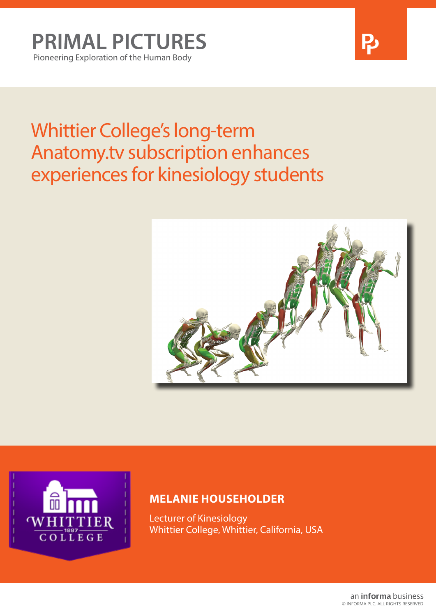

# Whittier College's long-term Anatomy.tv subscription enhances experiences for kinesiology students





### **MELANIE HOUSEHOLDER**

Lecturer of Kinesiology Whittier College, Whittier, California, USA